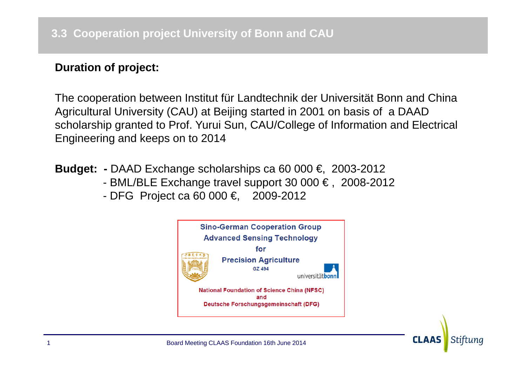## **Duration of project:**

The cooperation between Institut für Landtechnik der Universität Bonn and China Agricultural University (CAU) at Beijing started in 2001 on basis of a DAAD scholarship granted to Prof. Yurui Sun, CAU/College of Information and Electrical Engineering and keeps on to 2014

- **Budget: -** DAAD Exchange scholarships ca 60 000 €, 2003-2012
	- BML/BLE Exchange travel support 30 000 € , 2008-2012
	- DFG Project ca 60 000 €, 2009-2012

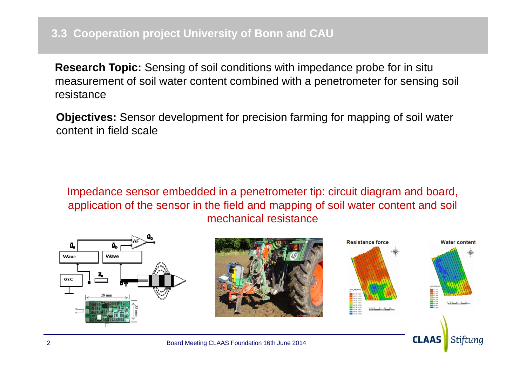**Research Topic:** Sensing of soil conditions with impedance probe for in situ measurement of soil water content combined with a penetrometer for sensing soil resistance

**Objectives:** Sensor development for precision farming for mapping of soil water content in field scale

Impedance sensor embedded in a penetrometer tip: circuit diagram and board, application of the sensor in the field and mapping of soil water content and soil mechanical resistance

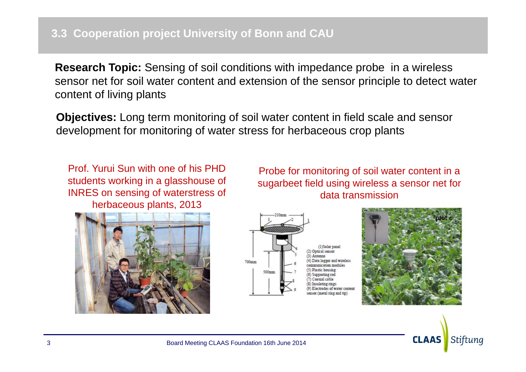**Research Topic:** Sensing of soil conditions with impedance probe in a wireless sensor net for soil water content and extension of the sensor principle to detect water content of living plants

**Objectives:** Long term monitoring of soil water content in field scale and sensor development for monitoring of water stress for herbaceous crop plants

Prof. Yurui Sun with one of his PHD students working in a glasshouse of INRES on sensing of waterstress of herbaceous plants, 2013

Probe for monitoring of soil water content in a sugarbeet field using wireless a sensor net for data transmission





Data logger and wireles Comparting to Coavial cable trodes of water conten (metal ring and tin



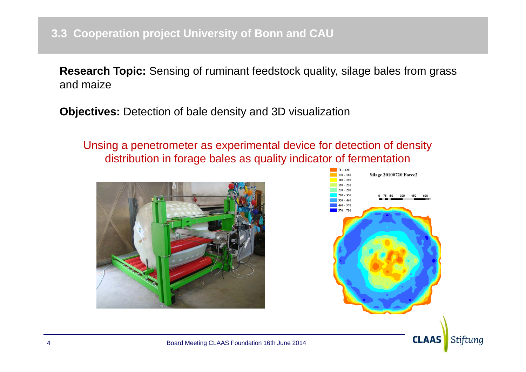**Research Topic:** Sensing of ruminant feedstock quality, silage bales from grass and maize

**Objectives:** Detection of bale density and 3D visualization

Unsing a penetrometer as experimental device for detection of density distribution in forage bales as quality indicator of fermentation





**CLAAS** 

Stiftung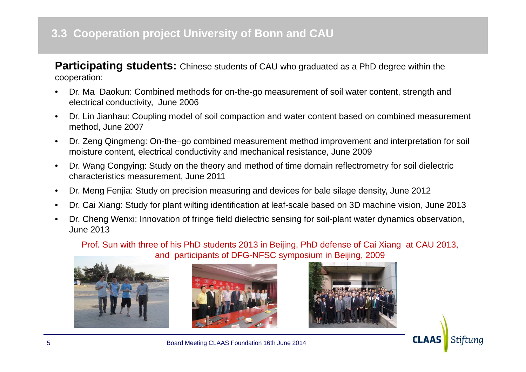## **3.3 Cooperation project University of Bonn and CAU**

**Participating students:** Chinese students of CAU who graduated as a PhD degree within the cooperation:

- • Dr. Ma Daokun: Combined methods for on-the-go measurement of soil water content, strength and electrical conductivity, June 2006
- • Dr. Lin Jianhau: Coupling model of soil compaction and water content based on combined measurement method, June 2007
- • Dr. Zeng Qingmeng: On-the–go combined measurement method improvement and interpretation for soil moisture content, electrical conductivity and mechanical resistance, June 2009
- • Dr. Wang Congying: Study on the theory and method of time domain reflectrometry for soil dielectric characteristics measurement, June 2011
- •Dr. Meng Fenjia: Study on precision measuring and devices for bale silage density, June 2012
- •Dr. Cai Xiang: Study for plant wilting identification at leaf-scale based on 3D machine vision, June 2013
- • Dr. Cheng Wenxi: Innovation of fringe field dielectric sensing for soil-plant water dynamics observation, June 2013

Prof. Sun with three of his PhD students 2013 in Beijing, PhD defense of Cai Xiang at CAU 2013, and participants of DFG-NFSC symposium in Beijing, 2009









Board Meeting CLAAS Foundation 16th June 2014